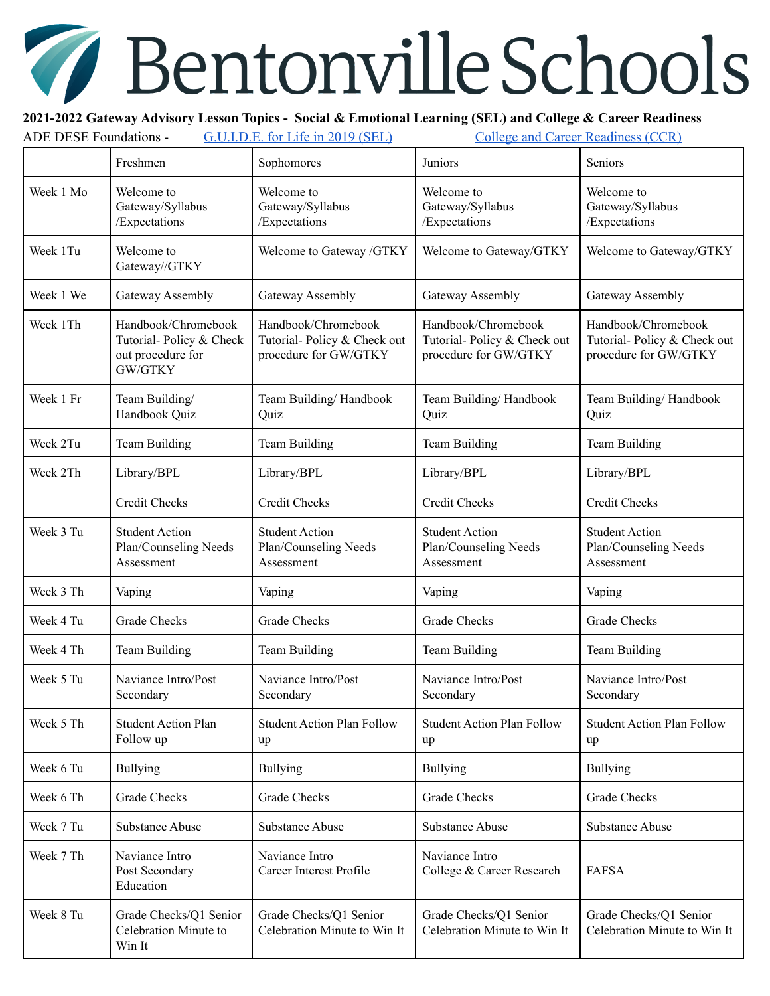## Bentonville Schools **Contract on the Contract of Contract on the Contract of Contract on the Contract of Contract on the Contract o**

## **2021-2022 Gateway Advisory Lesson Topics - Social & Emotional Learning (SEL) and College & Career Readiness**

| <b>ADE DESE Foundations -</b><br>G.U.I.D.E. for Life in 2019 (SEL) |                                                                                | <b>College and Career Readiness (CCR)</b>                                   |                                                                             |                                                                             |
|--------------------------------------------------------------------|--------------------------------------------------------------------------------|-----------------------------------------------------------------------------|-----------------------------------------------------------------------------|-----------------------------------------------------------------------------|
|                                                                    | Freshmen                                                                       | Sophomores                                                                  | Juniors                                                                     | Seniors                                                                     |
| Week 1 Mo                                                          | Welcome to<br>Gateway/Syllabus<br>/Expectations                                | Welcome to<br>Gateway/Syllabus<br>/Expectations                             | Welcome to<br>Gateway/Syllabus<br>/Expectations                             | Welcome to<br>Gateway/Syllabus<br>/Expectations                             |
| Week 1Tu                                                           | Welcome to<br>Gateway//GTKY                                                    | Welcome to Gateway /GTKY                                                    | Welcome to Gateway/GTKY                                                     | Welcome to Gateway/GTKY                                                     |
| Week 1 We                                                          | Gateway Assembly                                                               | Gateway Assembly                                                            | Gateway Assembly                                                            | Gateway Assembly                                                            |
| Week 1Th                                                           | Handbook/Chromebook<br>Tutorial-Policy & Check<br>out procedure for<br>GW/GTKY | Handbook/Chromebook<br>Tutorial-Policy & Check out<br>procedure for GW/GTKY | Handbook/Chromebook<br>Tutorial-Policy & Check out<br>procedure for GW/GTKY | Handbook/Chromebook<br>Tutorial-Policy & Check out<br>procedure for GW/GTKY |
| Week 1 Fr                                                          | Team Building/<br>Handbook Quiz                                                | Team Building/Handbook<br>Quiz                                              | Team Building/Handbook<br>Quiz                                              | Team Building/Handbook<br>Quiz                                              |
| Week 2Tu                                                           | Team Building                                                                  | Team Building                                                               | Team Building                                                               | <b>Team Building</b>                                                        |
| Week 2Th                                                           | Library/BPL                                                                    | Library/BPL                                                                 | Library/BPL                                                                 | Library/BPL                                                                 |
|                                                                    | <b>Credit Checks</b>                                                           | <b>Credit Checks</b>                                                        | <b>Credit Checks</b>                                                        | <b>Credit Checks</b>                                                        |
| Week 3 Tu                                                          | <b>Student Action</b><br>Plan/Counseling Needs<br>Assessment                   | <b>Student Action</b><br>Plan/Counseling Needs<br>Assessment                | <b>Student Action</b><br>Plan/Counseling Needs<br>Assessment                | <b>Student Action</b><br>Plan/Counseling Needs<br>Assessment                |
| Week 3 Th                                                          | Vaping                                                                         | Vaping                                                                      | Vaping                                                                      | Vaping                                                                      |
| Week 4 Tu                                                          | Grade Checks                                                                   | <b>Grade Checks</b>                                                         | <b>Grade Checks</b>                                                         | <b>Grade Checks</b>                                                         |
| Week 4 Th                                                          | Team Building                                                                  | Team Building                                                               | Team Building                                                               | <b>Team Building</b>                                                        |
| Week 5 Tu                                                          | Naviance Intro/Post<br>Secondary                                               | Naviance Intro/Post<br>Secondary                                            | Naviance Intro/Post<br>Secondary                                            | Naviance Intro/Post<br>Secondary                                            |
| Week 5 Th                                                          | <b>Student Action Plan</b><br>Follow up                                        | <b>Student Action Plan Follow</b><br>up                                     | <b>Student Action Plan Follow</b><br>up                                     | <b>Student Action Plan Follow</b><br>up                                     |
| Week 6 Tu                                                          | <b>Bullying</b>                                                                | <b>Bullying</b>                                                             | <b>Bullying</b>                                                             | <b>Bullying</b>                                                             |
| Week 6 Th                                                          | Grade Checks                                                                   | Grade Checks                                                                | <b>Grade Checks</b>                                                         | <b>Grade Checks</b>                                                         |
| Week 7 Tu                                                          | <b>Substance Abuse</b>                                                         | <b>Substance Abuse</b>                                                      | <b>Substance Abuse</b>                                                      | <b>Substance Abuse</b>                                                      |
| Week 7 Th                                                          | Naviance Intro<br>Post Secondary<br>Education                                  | Naviance Intro<br>Career Interest Profile                                   | Naviance Intro<br>College & Career Research                                 | <b>FAFSA</b>                                                                |
| Week 8 Tu                                                          | Grade Checks/Q1 Senior<br>Celebration Minute to<br>Win It                      | Grade Checks/Q1 Senior<br>Celebration Minute to Win It                      | Grade Checks/Q1 Senior<br>Celebration Minute to Win It                      | Grade Checks/Q1 Senior<br>Celebration Minute to Win It                      |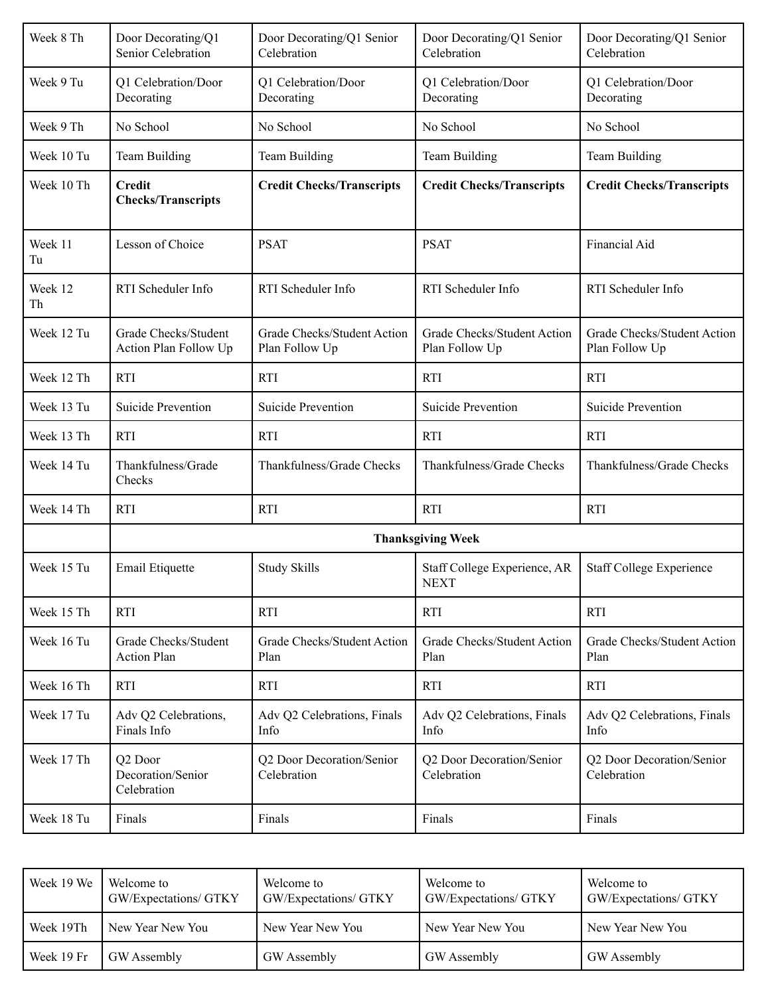| Week 8 Th     | Door Decorating/Q1<br>Senior Celebration                | Door Decorating/Q1 Senior<br>Celebration      | Door Decorating/Q1 Senior<br>Celebration      | Door Decorating/Q1 Senior<br>Celebration      |
|---------------|---------------------------------------------------------|-----------------------------------------------|-----------------------------------------------|-----------------------------------------------|
| Week 9 Tu     | Q1 Celebration/Door<br>Decorating                       | Q1 Celebration/Door<br>Decorating             | Q1 Celebration/Door<br>Decorating             | Q1 Celebration/Door<br>Decorating             |
| Week 9 Th     | No School                                               | No School                                     | No School                                     | No School                                     |
| Week 10 Tu    | Team Building                                           | Team Building                                 | Team Building                                 | Team Building                                 |
| Week 10 Th    | <b>Credit</b><br><b>Checks/Transcripts</b>              | <b>Credit Checks/Transcripts</b>              | <b>Credit Checks/Transcripts</b>              | <b>Credit Checks/Transcripts</b>              |
| Week 11<br>Tu | Lesson of Choice                                        | <b>PSAT</b>                                   | <b>PSAT</b>                                   | Financial Aid                                 |
| Week 12<br>Th | RTI Scheduler Info                                      | RTI Scheduler Info                            | RTI Scheduler Info                            | RTI Scheduler Info                            |
| Week 12 Tu    | Grade Checks/Student<br>Action Plan Follow Up           | Grade Checks/Student Action<br>Plan Follow Up | Grade Checks/Student Action<br>Plan Follow Up | Grade Checks/Student Action<br>Plan Follow Up |
| Week 12 Th    | <b>RTI</b>                                              | <b>RTI</b>                                    | <b>RTI</b>                                    | <b>RTI</b>                                    |
| Week 13 Tu    | Suicide Prevention                                      | <b>Suicide Prevention</b>                     | <b>Suicide Prevention</b>                     | <b>Suicide Prevention</b>                     |
| Week 13 Th    | <b>RTI</b>                                              | <b>RTI</b>                                    | <b>RTI</b>                                    | <b>RTI</b>                                    |
| Week 14 Tu    | Thankfulness/Grade<br>Checks                            | Thankfulness/Grade Checks                     | Thankfulness/Grade Checks                     | Thankfulness/Grade Checks                     |
| Week 14 Th    | <b>RTI</b>                                              | <b>RTI</b>                                    | <b>RTI</b>                                    | <b>RTI</b>                                    |
|               | <b>Thanksgiving Week</b>                                |                                               |                                               |                                               |
| Week 15 Tu    | Email Etiquette                                         | <b>Study Skills</b>                           | Staff College Experience, AR<br><b>NEXT</b>   | <b>Staff College Experience</b>               |
| Week 15 Th    | <b>RTI</b>                                              | <b>RTI</b>                                    | <b>RTI</b>                                    | <b>RTI</b>                                    |
| Week 16 Tu    | Grade Checks/Student<br><b>Action Plan</b>              | Grade Checks/Student Action<br>Plan           | Grade Checks/Student Action<br>Plan           | Grade Checks/Student Action<br>Plan           |
| Week 16 Th    | <b>RTI</b>                                              | <b>RTI</b>                                    | <b>RTI</b>                                    | <b>RTI</b>                                    |
| Week 17 Tu    | Adv Q2 Celebrations,<br>Finals Info                     | Adv Q2 Celebrations, Finals<br>Info           | Adv Q2 Celebrations, Finals<br>Info           | Adv Q2 Celebrations, Finals<br>Info           |
| Week 17 Th    | Q <sub>2</sub> Door<br>Decoration/Senior<br>Celebration | Q2 Door Decoration/Senior<br>Celebration      | Q2 Door Decoration/Senior<br>Celebration      | Q2 Door Decoration/Senior<br>Celebration      |
| Week 18 Tu    | Finals                                                  | Finals                                        | Finals                                        | Finals                                        |

| Week 19 We | Welcome to<br>GW/Expectations/ GTKY | Welcome to<br>GW/Expectations/ GTKY | Welcome to<br><b>GW/Expectations/ GTKY</b> | Welcome to<br>GW/Expectations/ GTKY |
|------------|-------------------------------------|-------------------------------------|--------------------------------------------|-------------------------------------|
| Week 19Th  | New Year New You                    | New Year New You                    | New Year New You                           | New Year New You                    |
| Week 19 Fr | GW Assembly                         | GW Assembly                         | GW Assembly                                | GW Assembly                         |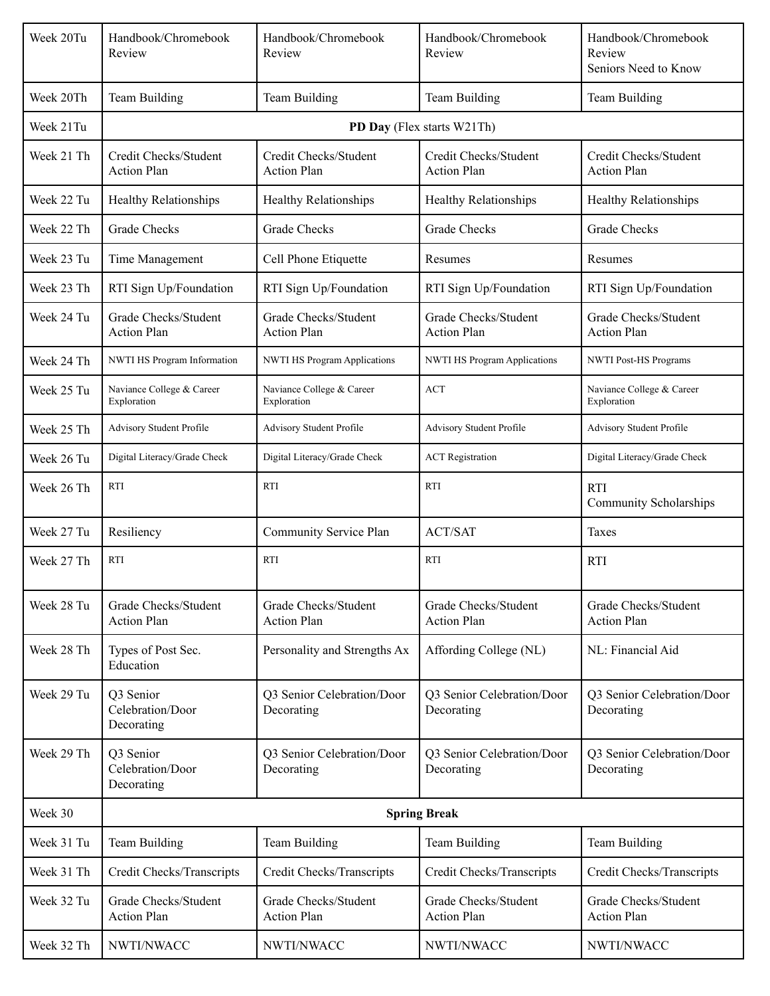| Week 20Tu  | Handbook/Chromebook<br>Review               | Handbook/Chromebook<br>Review               | Handbook/Chromebook<br>Review               | Handbook/Chromebook<br>Review<br>Seniors Need to Know |  |
|------------|---------------------------------------------|---------------------------------------------|---------------------------------------------|-------------------------------------------------------|--|
| Week 20Th  | Team Building                               | Team Building                               | Team Building                               | Team Building                                         |  |
| Week 21Tu  |                                             | PD Day (Flex starts W21Th)                  |                                             |                                                       |  |
| Week 21 Th | Credit Checks/Student<br><b>Action Plan</b> | Credit Checks/Student<br><b>Action Plan</b> | Credit Checks/Student<br><b>Action Plan</b> | Credit Checks/Student<br><b>Action Plan</b>           |  |
| Week 22 Tu | Healthy Relationships                       | <b>Healthy Relationships</b>                | <b>Healthy Relationships</b>                | <b>Healthy Relationships</b>                          |  |
| Week 22 Th | <b>Grade Checks</b>                         | <b>Grade Checks</b>                         | <b>Grade Checks</b>                         | <b>Grade Checks</b>                                   |  |
| Week 23 Tu | Time Management                             | Cell Phone Etiquette                        | Resumes                                     | Resumes                                               |  |
| Week 23 Th | RTI Sign Up/Foundation                      | RTI Sign Up/Foundation                      | RTI Sign Up/Foundation                      | RTI Sign Up/Foundation                                |  |
| Week 24 Tu | Grade Checks/Student<br><b>Action Plan</b>  | Grade Checks/Student<br><b>Action Plan</b>  | Grade Checks/Student<br><b>Action Plan</b>  | Grade Checks/Student<br><b>Action Plan</b>            |  |
| Week 24 Th | NWTI HS Program Information                 | NWTI HS Program Applications                | <b>NWTI HS Program Applications</b>         | <b>NWTI Post-HS Programs</b>                          |  |
| Week 25 Tu | Naviance College & Career<br>Exploration    | Naviance College & Career<br>Exploration    | <b>ACT</b>                                  | Naviance College & Career<br>Exploration              |  |
| Week 25 Th | Advisory Student Profile                    | Advisory Student Profile                    | Advisory Student Profile                    | Advisory Student Profile                              |  |
| Week 26 Tu | Digital Literacy/Grade Check                | Digital Literacy/Grade Check                | <b>ACT</b> Registration                     | Digital Literacy/Grade Check                          |  |
| Week 26 Th | <b>RTI</b>                                  | <b>RTI</b>                                  | <b>RTI</b>                                  | <b>RTI</b><br><b>Community Scholarships</b>           |  |
| Week 27 Tu | Resiliency                                  | Community Service Plan                      | <b>ACT/SAT</b>                              | Taxes                                                 |  |
| Week 27 Th | RTI                                         | <b>RTI</b>                                  | <b>RTI</b>                                  | <b>RTI</b>                                            |  |
| Week 28 Tu | Grade Checks/Student<br><b>Action Plan</b>  | Grade Checks/Student<br><b>Action Plan</b>  | Grade Checks/Student<br><b>Action Plan</b>  | Grade Checks/Student<br><b>Action Plan</b>            |  |
| Week 28 Th | Types of Post Sec.<br>Education             | Personality and Strengths Ax                | Affording College (NL)                      | NL: Financial Aid                                     |  |
| Week 29 Tu | Q3 Senior<br>Celebration/Door<br>Decorating | Q3 Senior Celebration/Door<br>Decorating    | Q3 Senior Celebration/Door<br>Decorating    | Q3 Senior Celebration/Door<br>Decorating              |  |
| Week 29 Th | Q3 Senior<br>Celebration/Door<br>Decorating | Q3 Senior Celebration/Door<br>Decorating    | Q3 Senior Celebration/Door<br>Decorating    | Q3 Senior Celebration/Door<br>Decorating              |  |
| Week 30    | <b>Spring Break</b>                         |                                             |                                             |                                                       |  |
| Week 31 Tu | Team Building                               | Team Building                               | Team Building                               | Team Building                                         |  |
| Week 31 Th | Credit Checks/Transcripts                   | Credit Checks/Transcripts                   | Credit Checks/Transcripts                   | Credit Checks/Transcripts                             |  |
| Week 32 Tu | Grade Checks/Student<br><b>Action Plan</b>  | Grade Checks/Student<br><b>Action Plan</b>  | Grade Checks/Student<br><b>Action Plan</b>  | Grade Checks/Student<br><b>Action Plan</b>            |  |
| Week 32 Th | NWTI/NWACC                                  | NWTI/NWACC                                  | NWTI/NWACC                                  | NWTI/NWACC                                            |  |